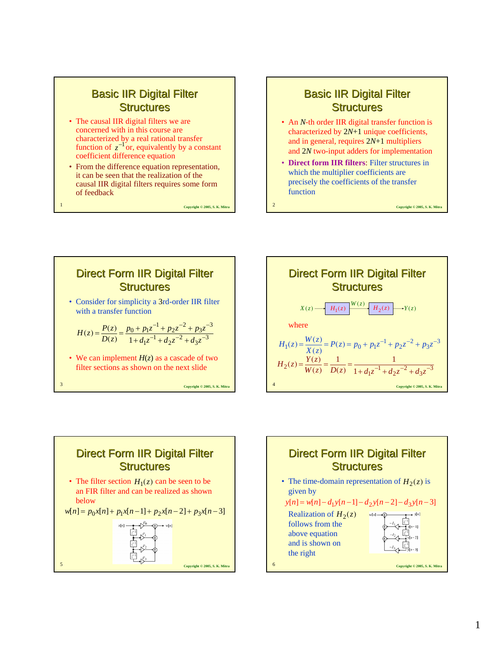## **Basic IIR Digital Filter Structures**

- The causal IIR digital filters we are concerned with in this course are characterized by a real rational transfer function of  $z^{-1}$  or, equivalently by a constant coefficient difference equation
- From the difference equation representation, it can be seen that the realization of the causal IIR digital filters requires some form of feedback

Copyright © 2005, S. K. Mitr.

## **Basic IIR Digital Filter Structures**

- An *N*-th order IIR digital transfer function is characterized by 2*N*+1 unique coefficients, and in general, requires 2*N*+1 multipliers and 2*N* two-input adders for implementation
- **Direct form IIR filters**: Filter structures in which the multiplier coefficients are precisely the coefficients of the transfer function







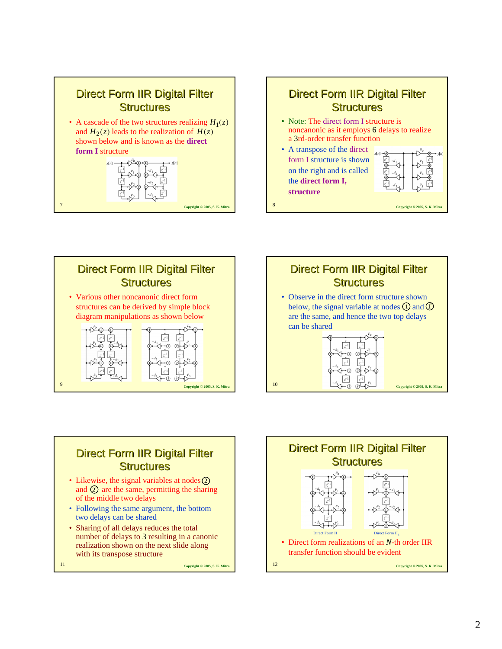







## Direct Form IIR Digital Filter **Structures**

- Likewise, the signal variables at nodes  $\overline{2}$ and  $\oslash$  are the same, permitting the sharing of the middle two delays
- Following the same argument, the bottom two delays can be shared
- Sharing of all delays reduces the total number of delays to 3 resulting in a canonic realization shown on the next slide along with its transpose structure

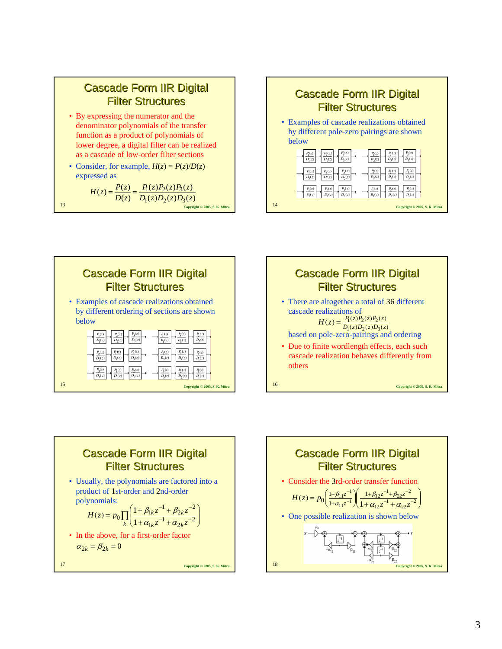

- By expressing the numerator and the denominator polynomials of the transfer function as a product of polynomials of lower degree, a digital filter can be realized as a cascade of low-order filter sections
- Consider, for example,  $H(z) = P(z)/D(z)$ expressed as

$$
H(z) = \frac{P(z)}{D(z)} = \frac{P_1(z)P_2(z)P_3(z)}{D_1(z)D_2(z)D_3(z)}
$$
  
13









$$
\alpha_{2k} = \beta_{2k} = 0
$$

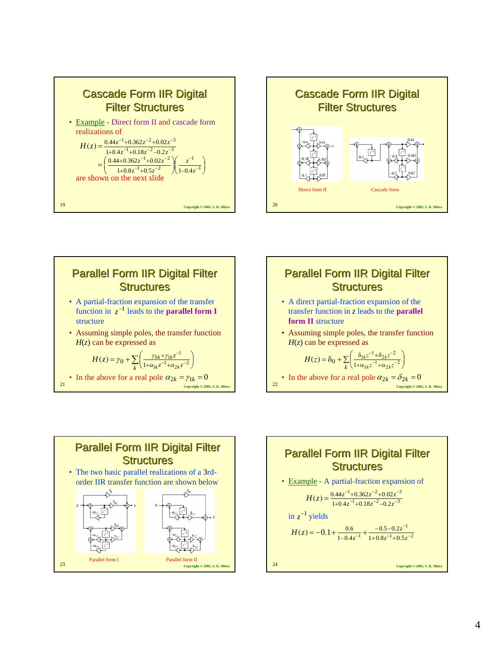









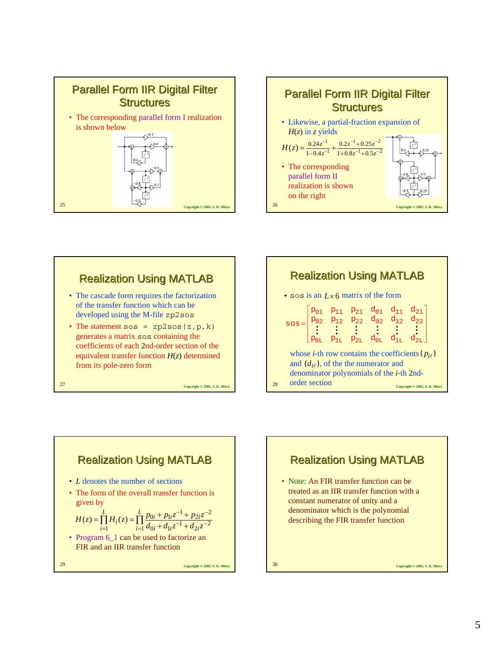









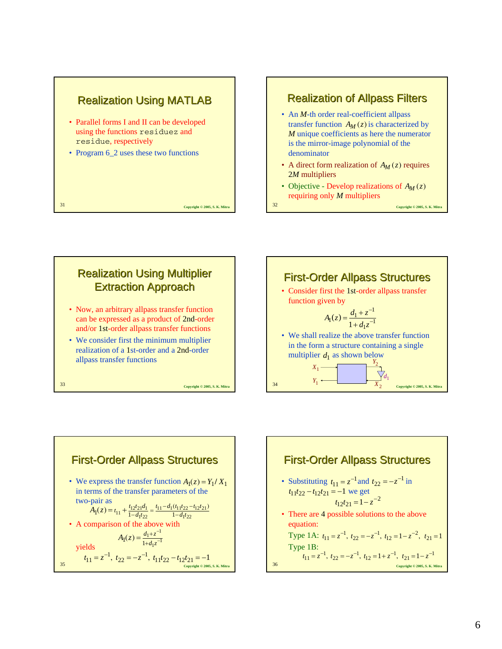

## **Realization of Allpass Filters**

- An *M*-th order real-coefficient allpass transfer function  $A_M(z)$  is characterized by *M* unique coefficients as here the numerator is the mirror-image polynomial of the denominator
- A direct form realization of  $A_M(z)$  requires 2*M* multipliers
- Objective Develop realizations of  $A_M(z)$ requiring only *M* multipliers







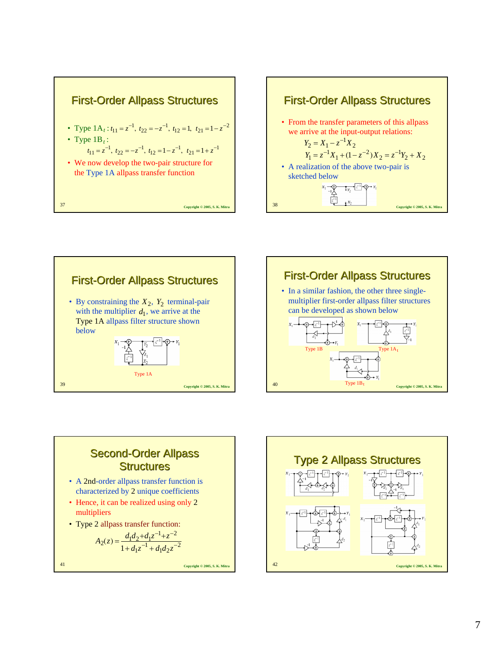









- A 2nd-order allpass transfer function is characterized by 2 unique coefficients
- Hence, it can be realized using only 2 multipliers
- Type 2 allpass transfer function:

$$
A_2(z) = \frac{d_1 d_2 + d_1 z^{-1} + z^{-2}}{1 + d_1 z^{-1} + d_1 d_2 z^{-2}}
$$

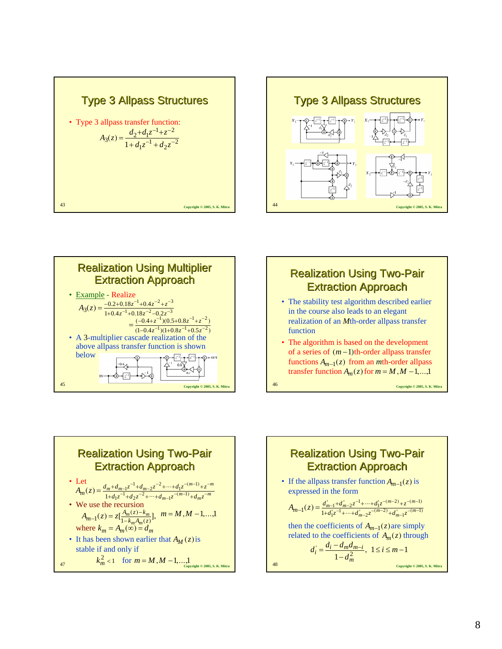







- The stability test algorithm described earlier in the course also leads to an elegant realization of an *M*th-order allpass transfer function
- The algorithm is based on the development of a series of  $(m-1)$ th-order allpass transfer  $functions A_{m-1}(z)$  from an *m*th-order allpass transfer function  $A_m(z)$  for  $m = M, M - 1, \ldots, 1$

**Realization Using Two-Pair** Extraction Approach Extraction Approach • Let • We use the recursion where • It has been shown earlier that  $A_M(z)$  is stable if and only if  $m^{-1}z^{-(m-1)} + d_m z^{-m}$  $m + d_{m-1}z^{-1} + d_{m-2}z^{-2} + \cdots + d_1z^{-(m-1)} + z^{-m}$  $A_m(z) = \frac{d_m + d_{m-1}z^{-1} + d_{m-2}z^{-2} + \dots + d_1z^{-(m-1)} + z^{-1}}{1 + d_1z^{-1} + d_2z^{-2} + \dots + d_{m-1}z^{-(m-1)} + d_mz^{-m}}$  $=\frac{d_m+d_{m-1}z^{-1}+d_{m-2}z^{-2}+\cdots+d_1z^{-(m-1)}+}{1+d_1z^{-1}+d_2z^{-2}+\cdots+d_{m-1}z^{-(m-1)}+d_mz^{-2}}$  $\int_{1}^{L} (z) = \frac{d_m + d_{m-1}z^{-1} + d_{m-2}z^{-2} + \dots + d_1z^{-(m-1)}}{1 + d_1z^{-1} + d_2z^{-2} + \dots + d_{m-1}z^{-(m-1)} + d_1z^{-2}}$ 1  $\chi(z) = z\left[\frac{A_m(z) - k_m}{1 - k_m A_m(z)}\right], \quad m = M, M - 1, \dots, 1$  $k_m A_m(z)$  $A_{m-1}(z) = z \left[ \frac{A_m(z) - k_m}{1 - k_m A_m(z)} \right]$  $k_m = A_m(\infty) = d_m$ 

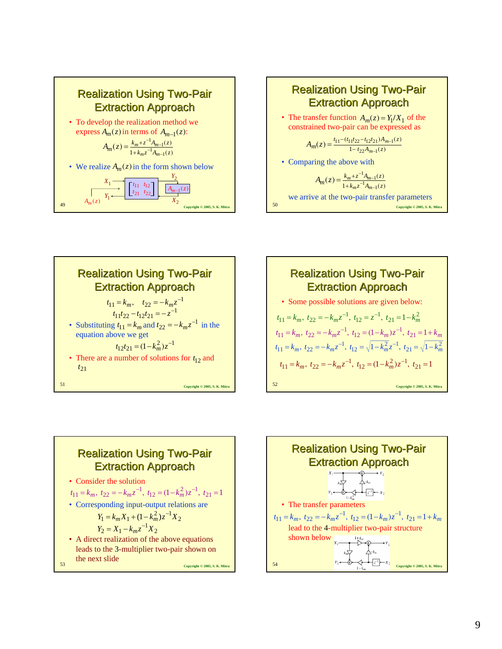









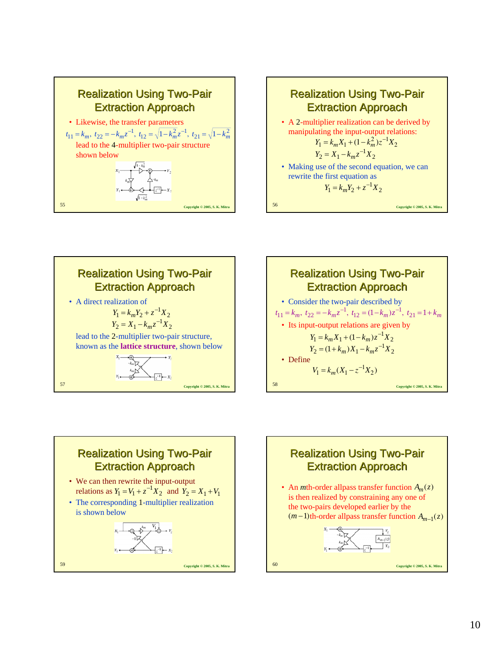









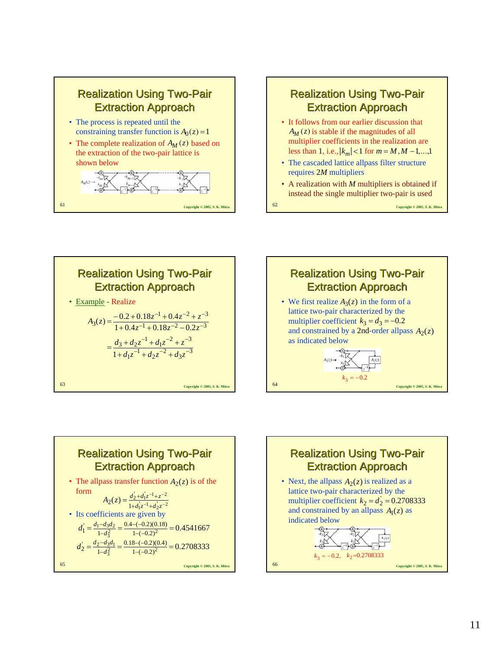



- The cascaded lattice allpass filter structure requires 2*M* multipliers
- A realization with *M* multipliers is obtained if instead the single multiplier two-pair is used